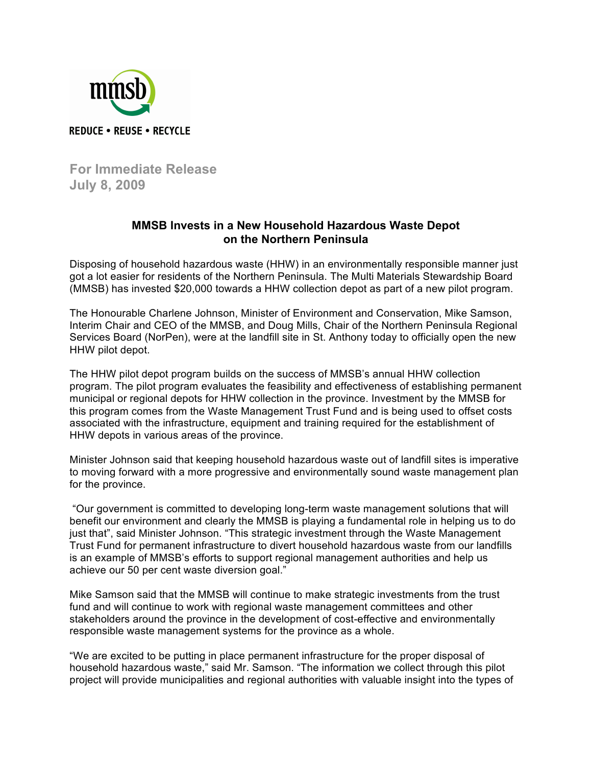

**For Immediate Release July 8, 2009**

## **MMSB Invests in a New Household Hazardous Waste Depot on the Northern Peninsula**

Disposing of household hazardous waste (HHW) in an environmentally responsible manner just got a lot easier for residents of the Northern Peninsula. The Multi Materials Stewardship Board (MMSB) has invested \$20,000 towards a HHW collection depot as part of a new pilot program.

The Honourable Charlene Johnson, Minister of Environment and Conservation, Mike Samson, Interim Chair and CEO of the MMSB, and Doug Mills, Chair of the Northern Peninsula Regional Services Board (NorPen), were at the landfill site in St. Anthony today to officially open the new HHW pilot depot.

The HHW pilot depot program builds on the success of MMSB's annual HHW collection program. The pilot program evaluates the feasibility and effectiveness of establishing permanent municipal or regional depots for HHW collection in the province. Investment by the MMSB for this program comes from the Waste Management Trust Fund and is being used to offset costs associated with the infrastructure, equipment and training required for the establishment of HHW depots in various areas of the province.

Minister Johnson said that keeping household hazardous waste out of landfill sites is imperative to moving forward with a more progressive and environmentally sound waste management plan for the province.

"Our government is committed to developing long-term waste management solutions that will benefit our environment and clearly the MMSB is playing a fundamental role in helping us to do just that", said Minister Johnson. "This strategic investment through the Waste Management Trust Fund for permanent infrastructure to divert household hazardous waste from our landfills is an example of MMSB's efforts to support regional management authorities and help us achieve our 50 per cent waste diversion goal."

Mike Samson said that the MMSB will continue to make strategic investments from the trust fund and will continue to work with regional waste management committees and other stakeholders around the province in the development of cost-effective and environmentally responsible waste management systems for the province as a whole.

"We are excited to be putting in place permanent infrastructure for the proper disposal of household hazardous waste," said Mr. Samson. "The information we collect through this pilot project will provide municipalities and regional authorities with valuable insight into the types of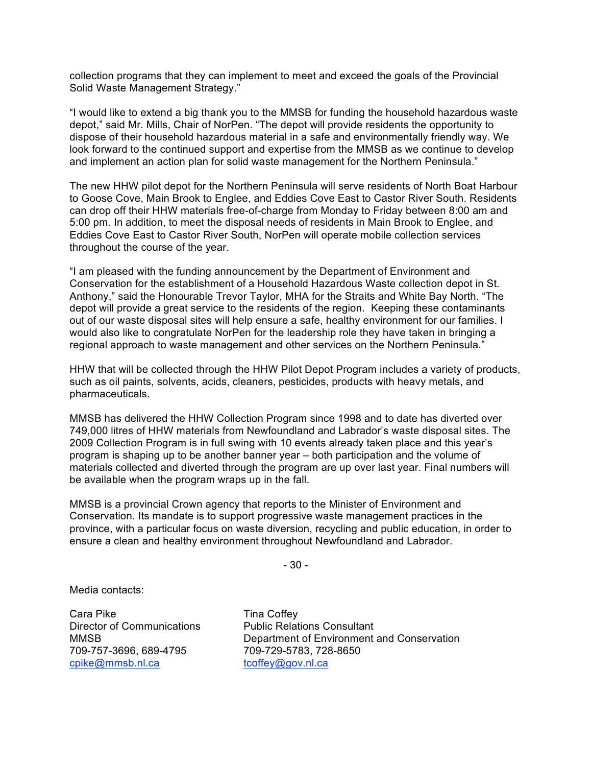collection programs that they can implement to meet and exceed the goals of the Provincial Solid Waste Management Strategy."

"I would like to extend a big thank you to the MMSB for funding the household hazardous waste depot," said Mr. Mills, Chair of NorPen. "The depot will provide residents the opportunity to dispose of their household hazardous material in a safe and environmentally friendly way. We look forward to the continued support and expertise from the MMSB as we continue to develop and implement an action plan for solid waste management for the Northern Peninsula."

The new HHW pilot depot for the Northern Peninsula will serve residents of North Boat Harbour to Goose Cove, Main Brook to Englee, and Eddies Cove East to Castor River South. Residents can drop off their HHW materials free-of-charge from Monday to Friday between 8:00 am and 5:00 pm. In addition, to meet the disposal needs of residents in Main Brook to Englee, and Eddies Cove East to Castor River South, NorPen will operate mobile collection services throughout the course of the year.

"I am pleased with the funding announcement by the Department of Environment and Conservation for the establishment of a Household Hazardous Waste collection depot in St. Anthony," said the Honourable Trevor Taylor, MHA for the Straits and White Bay North. "The depot will provide a great service to the residents of the region. Keeping these contaminants out of our waste disposal sites will help ensure a safe, healthy environment for our families. I would also like to congratulate NorPen for the leadership role they have taken in bringing a regional approach to waste management and other services on the Northern Peninsula."

HHW that will be collected through the HHW Pilot Depot Program includes a variety of products, such as oil paints, solvents, acids, cleaners, pesticides, products with heavy metals, and pharmaceuticals.

MMSB has delivered the HHW Collection Program since 1998 and to date has diverted over 749,000 litres of HHW materials from Newfoundland and Labrador's waste disposal sites. The 2009 Collection Program is in full swing with 10 events already taken place and this year's program is shaping up to be another banner year – both participation and the volume of materials collected and diverted through the program are up over last year. Final numbers will be available when the program wraps up in the fall.

MMSB is a provincial Crown agency that reports to the Minister of Environment and Conservation. Its mandate is to support progressive waste management practices in the province, with a particular focus on waste diversion, recycling and public education, in order to ensure a clean and healthy environment throughout Newfoundland and Labrador.

- 30 -

Media contacts:

Cara Pike Tina Coffey 709-757-3696, 689-4795 709-729-5783, 728-8650 cpike@mmsb.nl.ca tcoffey@gov.nl.ca

Director of Communications Public Relations Consultant MMSB Department of Environment and Conservation